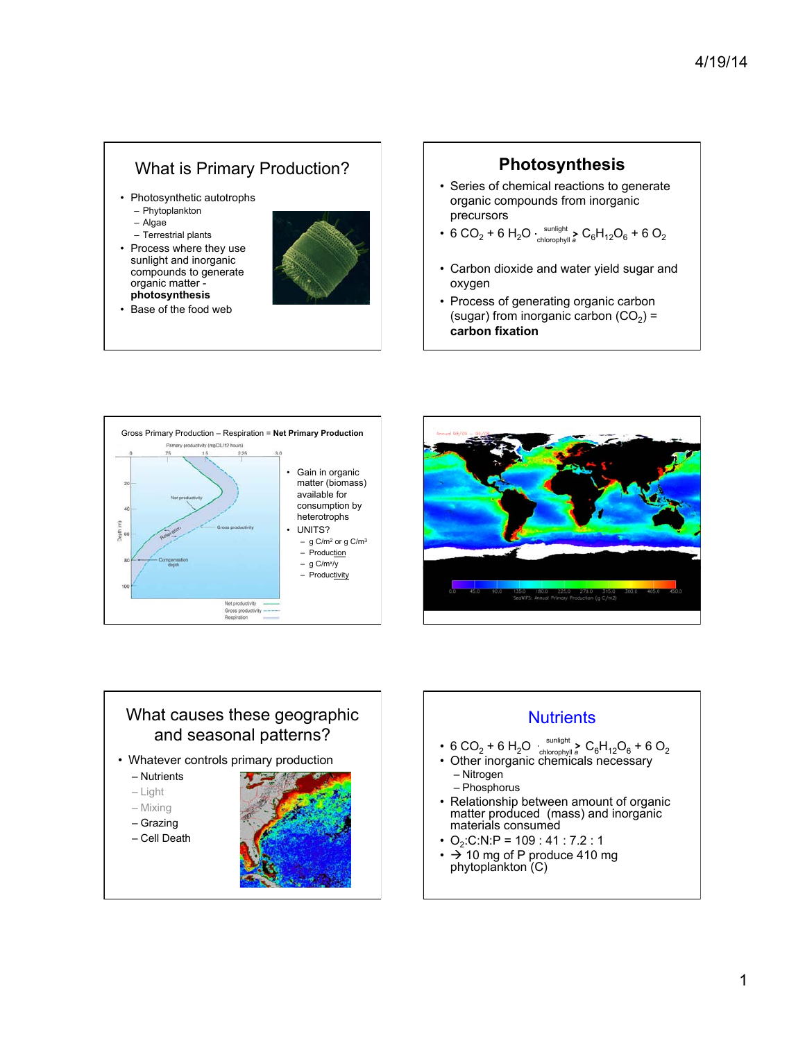# What is Primary Production?

- Photosynthetic autotrophs – Phytoplankton
	- Algae
	- Terrestrial plants
- Process where they use sunlight and inorganic compounds to generate organic matter **photosynthesis**



• Base of the food web

## **Photosynthesis**

- Series of chemical reactions to generate organic compounds from inorganic precursors
- 6 CO<sub>2</sub> + 6 H<sub>2</sub>O sunlight > C<sub>6</sub>H<sub>12</sub>O<sub>6</sub> + 6 O<sub>2</sub> chlorophyll *a*
- Carbon dioxide and water yield sugar and oxygen
- Process of generating organic carbon (sugar) from inorganic carbon  $(CO<sub>2</sub>)$  = **carbon fixation**







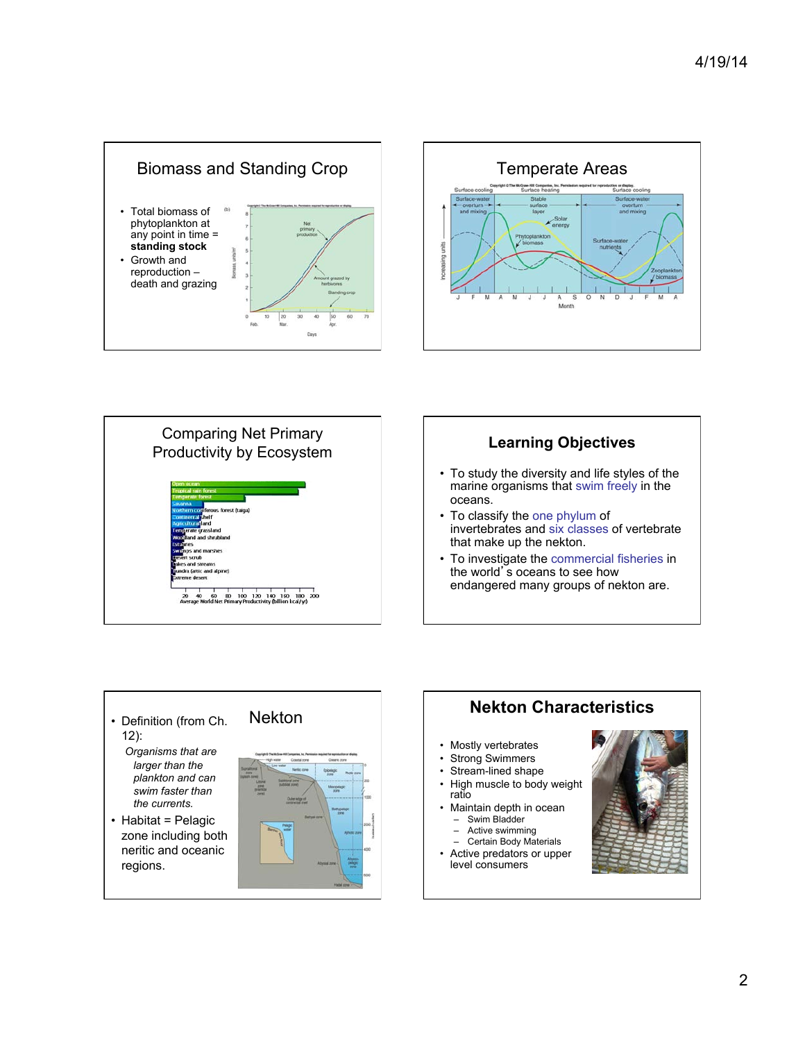









- *Organisms that are larger than the plankton and can swim faster than the currents.*
- Habitat = Pelagic zone including both neritic and oceanic regions.



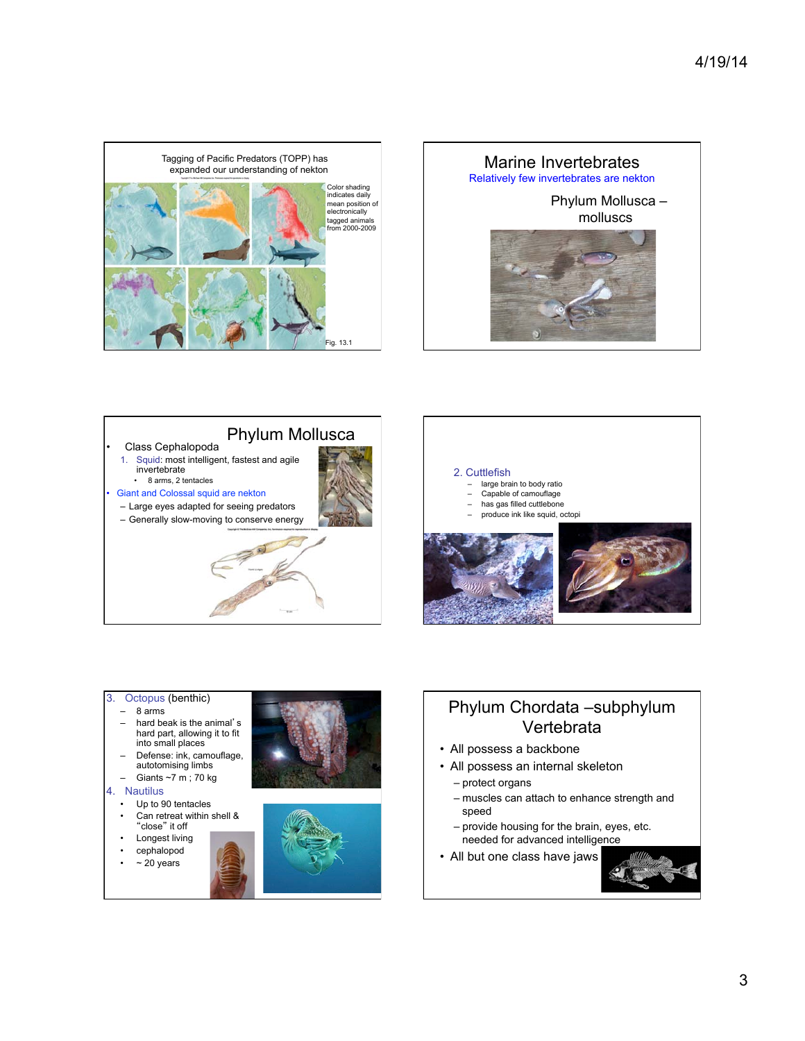







#### 3. Octopus (benthic)

- 8 arms
- hard beak is the animal's hard part, allowing it to fit into small places
- Defense: ink, camouflage,
- autotomising limbs – Giants ~7 m ; 70 kg

#### 4. Nautilus

- Up to 90 tentacles
- Can retreat within shell & "close" it off
- Longest living
- cephalopod
- $\cdot$  ~ 20 years





# Phylum Chordata –subphylum Vertebrata

- All possess a backbone
- All possess an internal skeleton
	- protect organs
	- muscles can attach to enhance strength and speed
	- provide housing for the brain, eyes, etc. needed for advanced intelligence
- All but one class have jaws

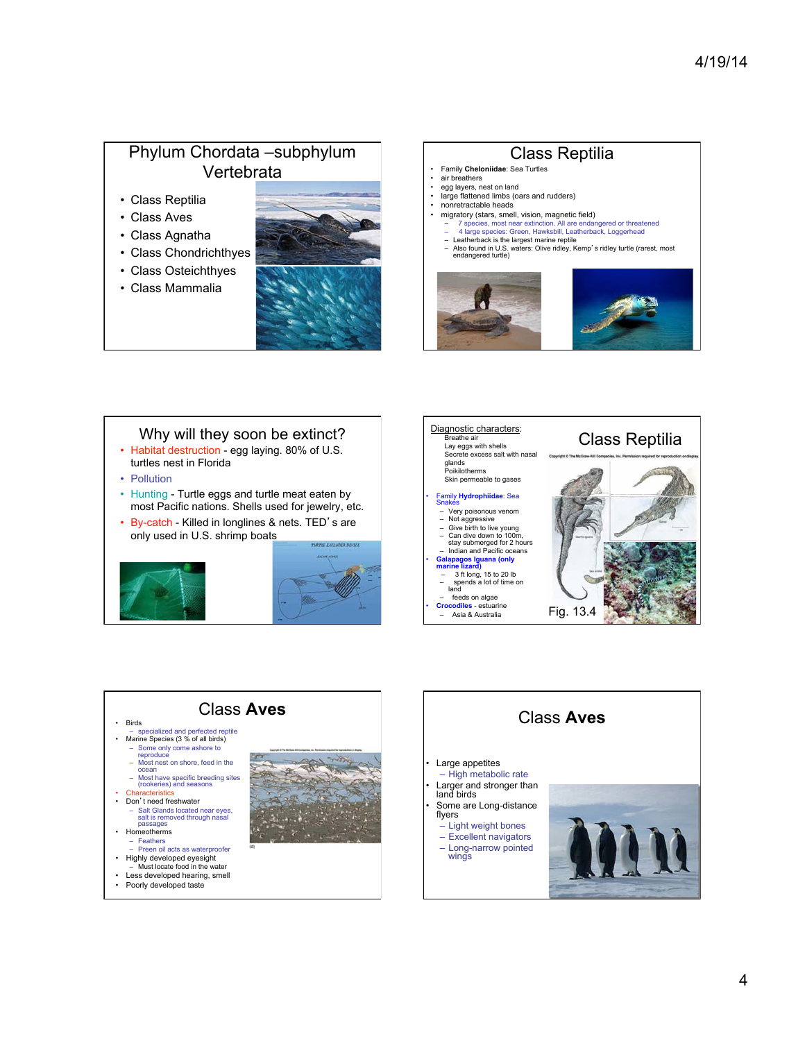# Phylum Chordata –subphylum Vertebrata

- Class Reptilia
- Class Aves
- Class Agnatha
- Class Chondrichthyes
- Class Osteichthyes
- Class Mammalia







- Pollution
- Hunting Turtle eggs and turtle meat eaten by most Pacific nations. Shells used for jewelry, etc.
- By-catch Killed in longlines & nets. TED's are only used in U.S. shrimp boats









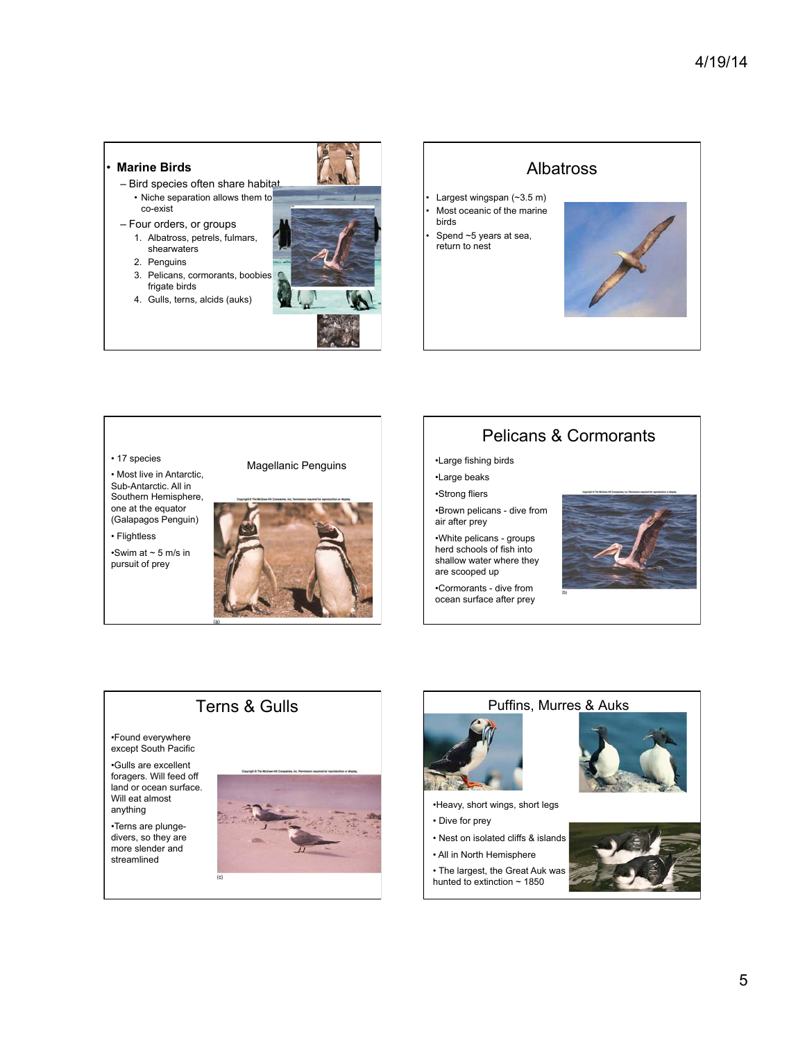#### • **Marine Birds**

- Bird species often share habitat • Niche separation allows them to co-exist
- Four orders, or groups
	- 1. Albatross, petrels, fulmars, shearwaters
	- 2. Penguins
	- 3. Pelicans, cormorants, boobies frigate birds 4. Gulls, terns, alcids (auks)



# Albatross

- Largest wingspan (~3.5 m)
- Most oceanic of the marine birds
- Spend ~5 years at sea, return to nest





Sub-Antarctic. All in Southern Hemisphere, one at the equator (Galapagos Penguin) • Flightless

•Swim at  $\sim$  5 m/s in pursuit of prey

•Found everywhere except South Pacific •Gulls are excellent foragers. Will feed off land or ocean surface. Will eat almost anything •Terns are plungedivers, so they are more slender and streamlined

Terns & Gulls

### Pelicans & Cormorants

•Large fishing birds •Large beaks

•Strong fliers

•Brown pelicans - dive from air after prey

•White pelicans - groups herd schools of fish into shallow water where they are scooped up

•Cormorants - dive from ocean surface after prey





•Heavy, short wings, short legs

- Dive for prey
- Nest on isolated cliffs & islands
- All in North Hemisphere
- 
- The largest, the Great Auk was hunted to extinction  $\sim$  1850



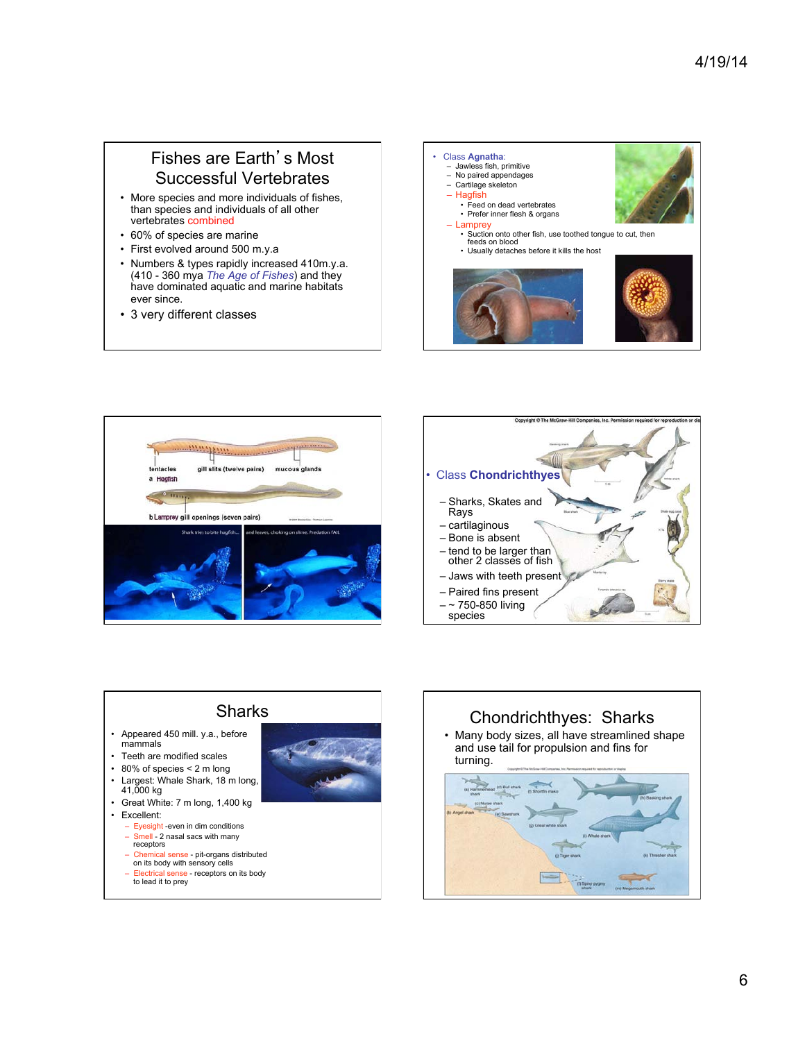## Fishes are Earth's Most Successful Vertebrates

- More species and more individuals of fishes, than species and individuals of all other vertebrates combined
- 60% of species are marine
- First evolved around 500 m.y.a
- Numbers & types rapidly increased 410m.y.a. (410 - 360 mya *The Age of Fishes*) and they have dominated aquatic and marine habitats ever since.
- 3 very different classes









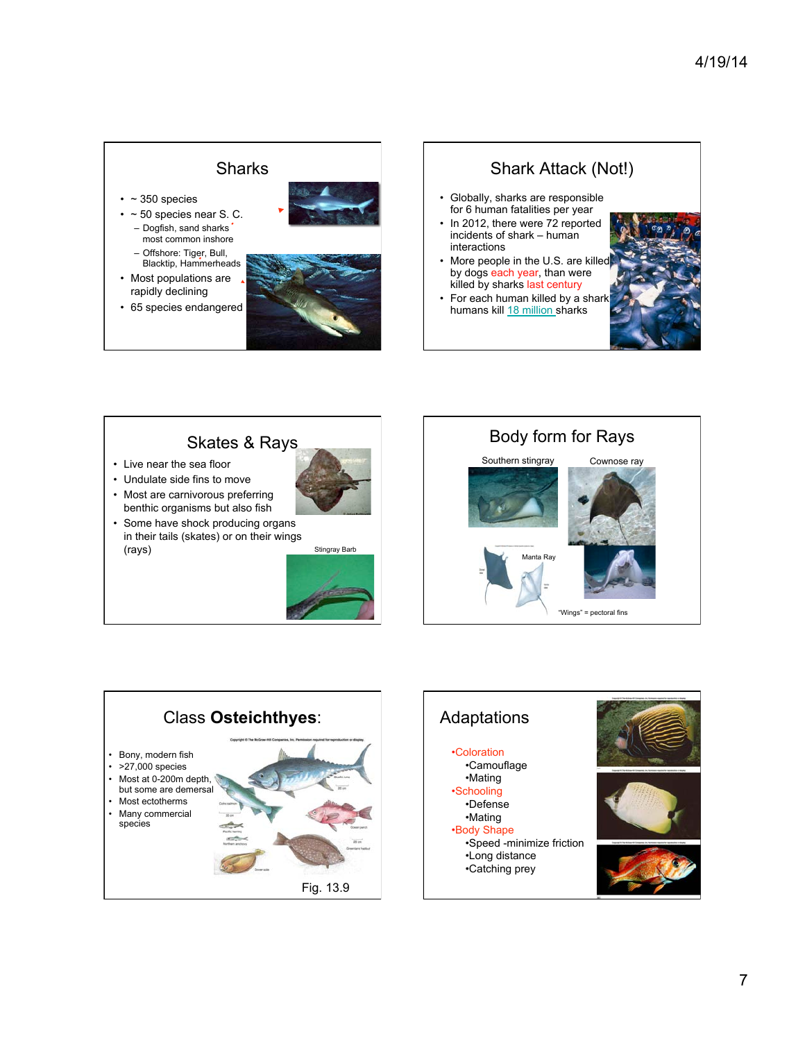#### **Sharks**

- $\cdot$  ~ 350 species
- $\cdot$  ~ 50 species near S. C. – Dogfish, sand sharks most common inshore
- Offshore: Tiger, Bull, Blacktip, Hammerheads • Most populations are

rapidly declining









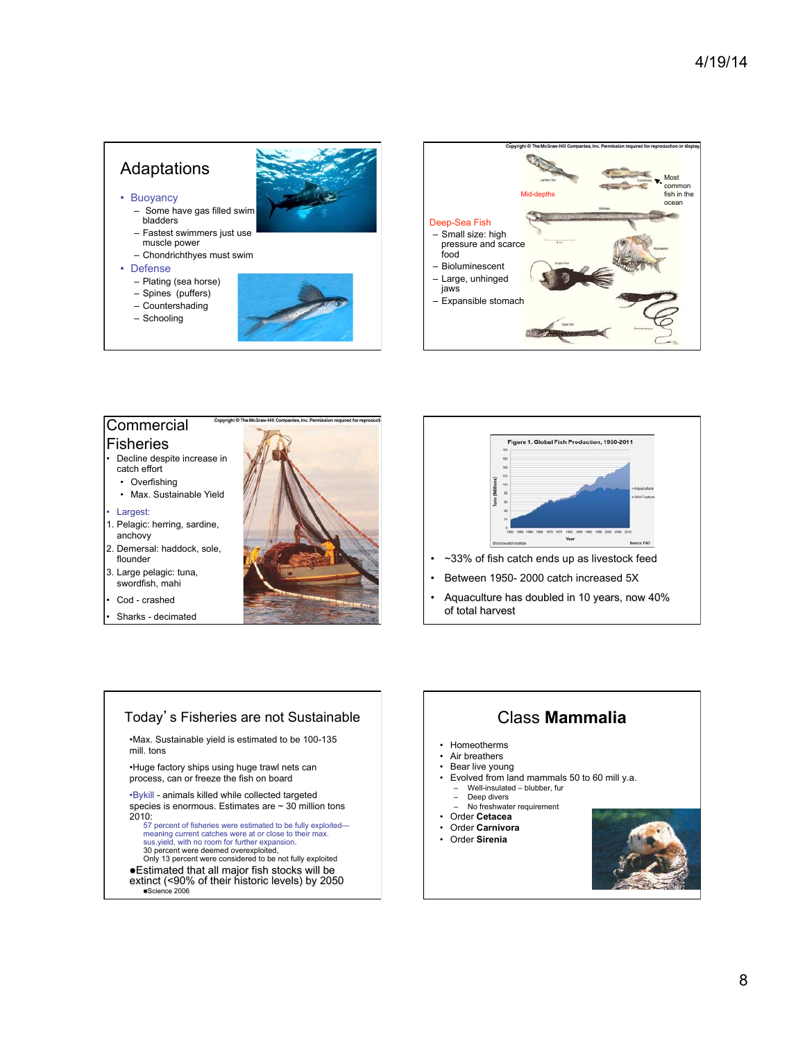### Adaptations

- Buoyancy
- Some have gas filled swim bladders
- Fastest swimmers just use muscle power
- Chondrichthyes must swim
- Defense
	- Plating (sea horse)
	- Spines (puffers) – Countershading
	- Schooling





#### **Commercial** Fisheries

- Decline despite increase in catch effort
	- Overfishing
	- Max. Sustainable Yield

• Largest:

- 1. Pelagic: herring, sardine, anchovy
- 2. Demersal: haddock, sole, flounder
- 3. Large pelagic: tuna, swordfish, mahi
- Cod crashed
- Sharks decimated





• Aquaculture has doubled in 10 years, now 40% of total harvest

#### Today's Fisheries are not Sustainable

•Max. Sustainable yield is estimated to be 100-135 mill. tons

•Huge factory ships using huge trawl nets can process, can or freeze the fish on board

•Bykill - animals killed while collected targeted species is enormous. Estimates are ~ 30 million tons 2010:

57 percent of fisheries were estimated to be fully exploited meaning current catches were at or close to their max.<br>sus.yield, with no room for further expansion.<br>30 percent were deemed overexploited,<br>Only 13 percent were considered to be not fully exploited

- 
- lEstimated that all major fish stocks will be extinct (<90% of their historic levels) by 2050 Science 2006

# Class **Mammalia**

- Homeotherms
- Air breathers
- Bear live young
- Evolved from land mammals 50 to 60 mill y.a. – Well-insulated – blubber, fur
- Deep divers
- No freshwater requirement
- Order **Cetacea**
- Order **Carnivora**
- Order **Sirenia**

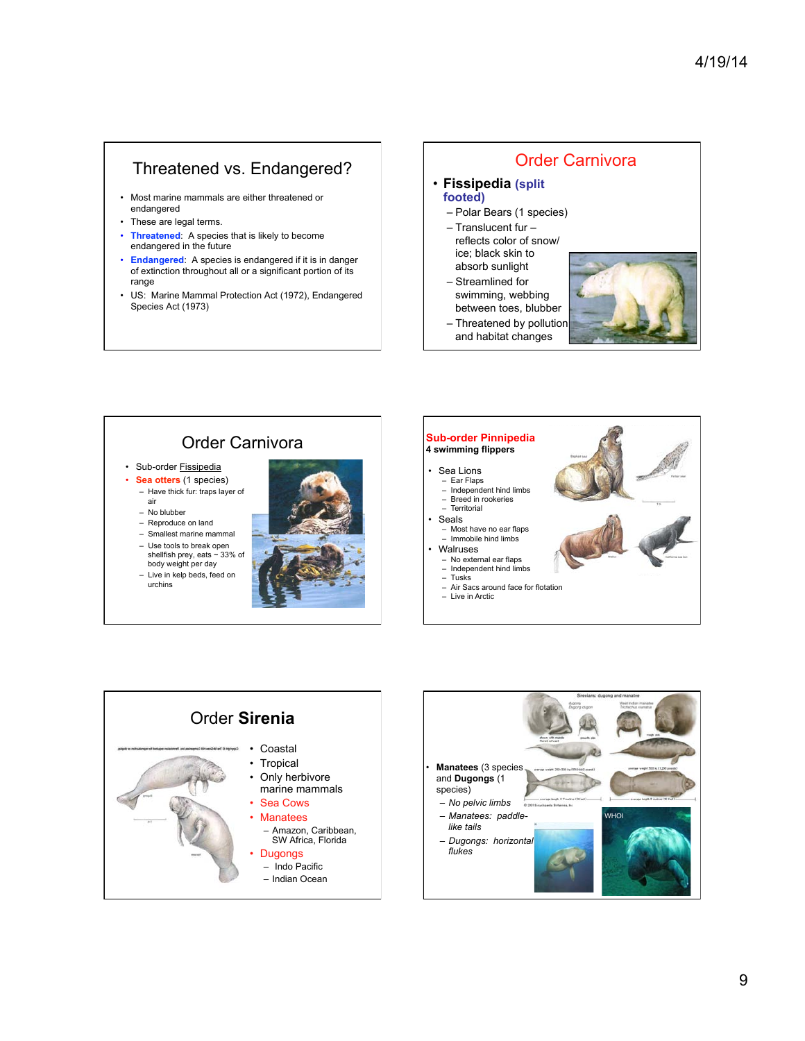# Threatened vs. Endangered?

- Most marine mammals are either threatened or endangered
- These are legal terms.
- **Threatened**: A species that is likely to become endangered in the future
- **Endangered**: A species is endangered if it is in danger of extinction throughout all or a significant portion of its range
- US: Marine Mammal Protection Act (1972), Endangered Species Act (1973)

#### Order Carnivora

- **Fissipedia (split footed)**
	- Polar Bears (1 species)
	- Translucent fur reflects color of snow/ ice; black skin to
	- absorb sunlight – Streamlined for
	- swimming, webbing between toes, blubber
	- Threatened by pollution
	- and habitat changes



#### Order Carnivora • Sub-order **Fissipedia** • **Sea otters** (1 species) – Have thick fur: traps layer of air – No blubber – Reproduce on land – Smallest marine mammal – Use tools to break open shellfish prey, eats ~ 33% of body weight per day – Live in kelp beds, feed on urchins Sea Lions – Ear Flaps – Independent hind limbs – Breed in rookeries **Territorial Seals** – Most have no ear flaps – Immobile hind limbs • Walruses – No external ear flaps – Independent hind limbs – Tusks – Air Sacs around face for flotation – Live in Arctic **Sub-order Pinnipedia 4 swimming flippers**





#### 9